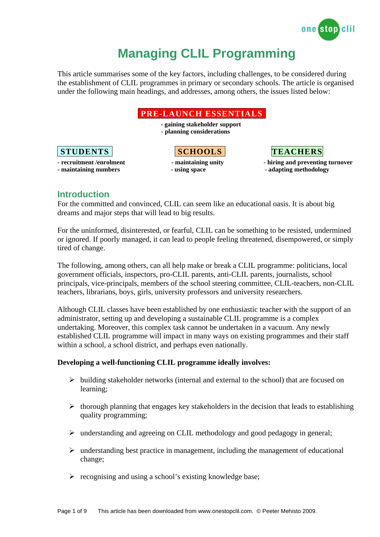

# **Managing CLIL Programming**

This article summarises some of the key factors, including challenges, to be considered during the establishment of CLIL programmes in primary or secondary schools. The article is organised under the following main headings, and addresses, among others, the issues listed below:



## **Introduction**

For the committed and convinced, CLIL can seem like an educational oasis. It is about big dreams and major steps that will lead to big results.

For the uninformed, disinterested, or fearful, CLIL can be something to be resisted, undermined or ignored. If poorly managed, it can lead to people feeling threatened, disempowered, or simply tired of change.

The following, among others, can all help make or break a CLIL programme: politicians, local government officials, inspectors, pro-CLIL parents, anti-CLIL parents, journalists, school principals, vice-principals, members of the school steering committee, CLIL-teachers, non-CLIL teachers, librarians, boys, girls, university professors and university researchers.

Although CLIL classes have been established by one enthusiastic teacher with the support of an administrator, setting up and developing a sustainable CLIL programme is a complex undertaking. Moreover, this complex task cannot be undertaken in a vacuum. Any newly established CLIL programme will impact in many ways on existing programmes and their staff within a school, a school district, and perhaps even nationally.

#### **Developing a well-functioning CLIL programme ideally involves:**

- $\triangleright$  building stakeholder networks (internal and external to the school) that are focused on learning;
- $\triangleright$  thorough planning that engages key stakeholders in the decision that leads to establishing quality programming;
- $\triangleright$  understanding and agreeing on CLIL methodology and good pedagogy in general;
- $\triangleright$  understanding best practice in management, including the management of educational change;
- $\triangleright$  recognising and using a school's existing knowledge base;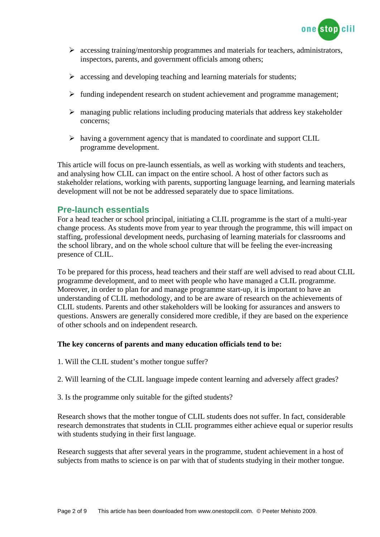

- $\triangleright$  accessing training/mentorship programmes and materials for teachers, administrators, inspectors, parents, and government officials among others;
- $\triangleright$  accessing and developing teaching and learning materials for students;
- $\triangleright$  funding independent research on student achievement and programme management;
- $\triangleright$  managing public relations including producing materials that address key stakeholder concerns;
- $\triangleright$  having a government agency that is mandated to coordinate and support CLIL programme development.

This article will focus on pre-launch essentials, as well as working with students and teachers, and analysing how CLIL can impact on the entire school. A host of other factors such as stakeholder relations, working with parents, supporting language learning, and learning materials development will not be not be addressed separately due to space limitations.

### **Pre-launch essentials**

For a head teacher or school principal, initiating a CLIL programme is the start of a multi-year change process. As students move from year to year through the programme, this will impact on staffing, professional development needs, purchasing of learning materials for classrooms and the school library, and on the whole school culture that will be feeling the ever-increasing presence of CLIL.

To be prepared for this process, head teachers and their staff are well advised to read about CLIL programme development, and to meet with people who have managed a CLIL programme. Moreover, in order to plan for and manage programme start-up, it is important to have an understanding of CLIL methodology, and to be are aware of research on the achievements of CLIL students. Parents and other stakeholders will be looking for assurances and answers to questions. Answers are generally considered more credible, if they are based on the experience of other schools and on independent research.

#### **The key concerns of parents and many education officials tend to be:**

- 1. Will the CLIL student's mother tongue suffer?
- 2. Will learning of the CLIL language impede content learning and adversely affect grades?
- 3. Is the programme only suitable for the gifted students?

Research shows that the mother tongue of CLIL students does not suffer. In fact, considerable research demonstrates that students in CLIL programmes either achieve equal or superior results with students studying in their first language.

Research suggests that after several years in the programme, student achievement in a host of subjects from maths to science is on par with that of students studying in their mother tongue.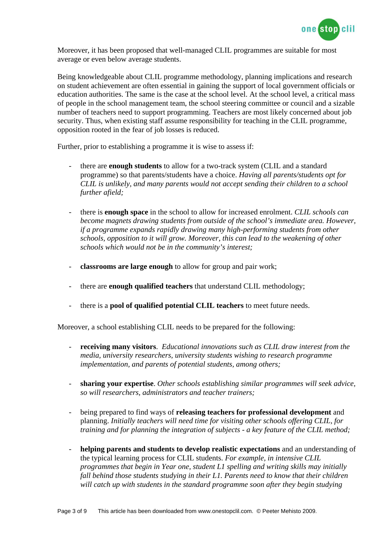

Moreover, it has been proposed that well-managed CLIL programmes are suitable for most average or even below average students.

Being knowledgeable about CLIL programme methodology, planning implications and research on student achievement are often essential in gaining the support of local government officials or education authorities. The same is the case at the school level. At the school level, a critical mass of people in the school management team, the school steering committee or council and a sizable number of teachers need to support programming. Teachers are most likely concerned about job security. Thus, when existing staff assume responsibility for teaching in the CLIL programme, opposition rooted in the fear of job losses is reduced.

Further, prior to establishing a programme it is wise to assess if:

- there are **enough students** to allow for a two-track system (CLIL and a standard programme) so that parents/students have a choice. *Having all parents/students opt for CLIL is unlikely, and many parents would not accept sending their children to a school further afield;*
- there is **enough space** in the school to allow for increased enrolment. *CLIL schools can become magnets drawing students from outside of the school's immediate area. However, if a programme expands rapidly drawing many high-performing students from other schools, opposition to it will grow. Moreover, this can lead to the weakening of other schools which would not be in the community's interest;*
- **classrooms are large enough** to allow for group and pair work;
- there are **enough qualified teachers** that understand CLIL methodology;
- there is a **pool of qualified potential CLIL teachers** to meet future needs.

Moreover, a school establishing CLIL needs to be prepared for the following:

- **receiving many visitors**. *Educational innovations such as CLIL draw interest from the media, university researchers, university students wishing to research programme implementation, and parents of potential students, among others;*
- **sharing your expertise**. *Other schools establishing similar programmes will seek advice, so will researchers, administrators and teacher trainers;*
- being prepared to find ways of **releasing teachers for professional development** and planning. *Initially teachers will need time for visiting other schools offering CLIL, for training and for planning the integration of subjects - a key feature of the CLIL method;*
- helping parents and students to develop realistic expectations and an understanding of the typical learning process for CLIL students. *For example, in intensive CLIL programmes that begin in Year one, student L1 spelling and writing skills may initially fall behind those students studying in their L1. Parents need to know that their children will catch up with students in the standard programme soon after they begin studying*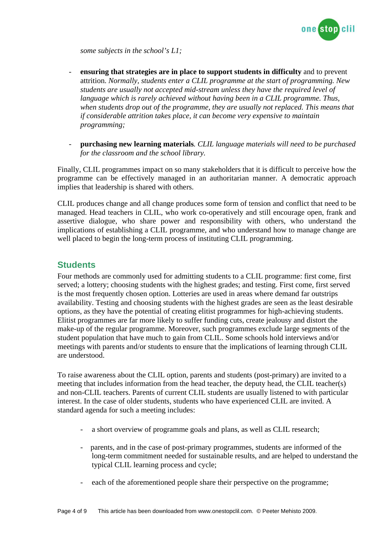

*some subjects in the school's L1;* 

- **ensuring that strategies are in place to support students in difficulty** and to prevent attrition. *Normally, students enter a CLIL programme at the start of programming. New students are usually not accepted mid-stream unless they have the required level of language which is rarely achieved without having been in a CLIL programme. Thus, when students drop out of the programme, they are usually not replaced. This means that if considerable attrition takes place, it can become very expensive to maintain programming;*
- **purchasing new learning materials***. CLIL language materials will need to be purchased for the classroom and the school library.*

Finally, CLIL programmes impact on so many stakeholders that it is difficult to perceive how the programme can be effectively managed in an authoritarian manner. A democratic approach implies that leadership is shared with others.

CLIL produces change and all change produces some form of tension and conflict that need to be managed. Head teachers in CLIL, who work co-operatively and still encourage open, frank and assertive dialogue, who share power and responsibility with others, who understand the implications of establishing a CLIL programme, and who understand how to manage change are well placed to begin the long-term process of instituting CLIL programming.

## **Students**

Four methods are commonly used for admitting students to a CLIL programme: first come, first served; a lottery; choosing students with the highest grades; and testing. First come, first served is the most frequently chosen option. Lotteries are used in areas where demand far outstrips availability. Testing and choosing students with the highest grades are seen as the least desirable options, as they have the potential of creating elitist programmes for high-achieving students. Elitist programmes are far more likely to suffer funding cuts, create jealousy and distort the make-up of the regular programme. Moreover, such programmes exclude large segments of the student population that have much to gain from CLIL. Some schools hold interviews and/or meetings with parents and/or students to ensure that the implications of learning through CLIL are understood.

To raise awareness about the CLIL option, parents and students (post-primary) are invited to a meeting that includes information from the head teacher, the deputy head, the CLIL teacher(s) and non-CLIL teachers. Parents of current CLIL students are usually listened to with particular interest. In the case of older students, students who have experienced CLIL are invited. A standard agenda for such a meeting includes:

- a short overview of programme goals and plans, as well as CLIL research;
- parents, and in the case of post-primary programmes, students are informed of the long-term commitment needed for sustainable results, and are helped to understand the typical CLIL learning process and cycle;
- each of the aforementioned people share their perspective on the programme;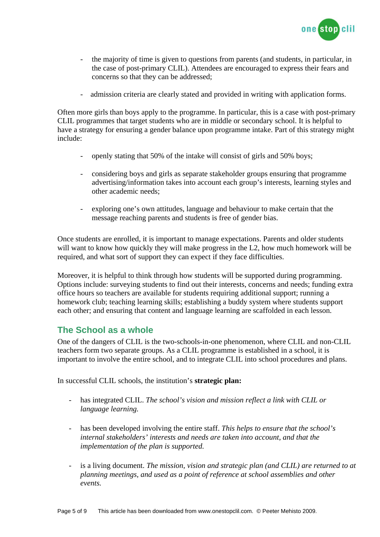

- the majority of time is given to questions from parents (and students, in particular, in the case of post-primary CLIL). Attendees are encouraged to express their fears and concerns so that they can be addressed;
- admission criteria are clearly stated and provided in writing with application forms.

Often more girls than boys apply to the programme. In particular, this is a case with post-primary CLIL programmes that target students who are in middle or secondary school. It is helpful to have a strategy for ensuring a gender balance upon programme intake. Part of this strategy might include:

- openly stating that 50% of the intake will consist of girls and 50% boys;
- considering boys and girls as separate stakeholder groups ensuring that programme advertising/information takes into account each group's interests, learning styles and other academic needs;
- exploring one's own attitudes, language and behaviour to make certain that the message reaching parents and students is free of gender bias.

Once students are enrolled, it is important to manage expectations. Parents and older students will want to know how quickly they will make progress in the L2, how much homework will be required, and what sort of support they can expect if they face difficulties.

Moreover, it is helpful to think through how students will be supported during programming. Options include: surveying students to find out their interests, concerns and needs; funding extra office hours so teachers are available for students requiring additional support; running a homework club; teaching learning skills; establishing a buddy system where students support each other; and ensuring that content and language learning are scaffolded in each lesson.

# **The School as a whole**

One of the dangers of CLIL is the two-schools-in-one phenomenon, where CLIL and non-CLIL teachers form two separate groups. As a CLIL programme is established in a school, it is important to involve the entire school, and to integrate CLIL into school procedures and plans.

In successful CLIL schools, the institution's **strategic plan:** 

- has integrated CLIL. *The school's vision and mission reflect a link with CLIL or language learning.*
- has been developed involving the entire staff. *This helps to ensure that the school's internal stakeholders' interests and needs are taken into account, and that the implementation of the plan is supported.*
- is a living document. *The mission, vision and strategic plan (and CLIL) are returned to at planning meetings, and used as a point of reference at school assemblies and other events.*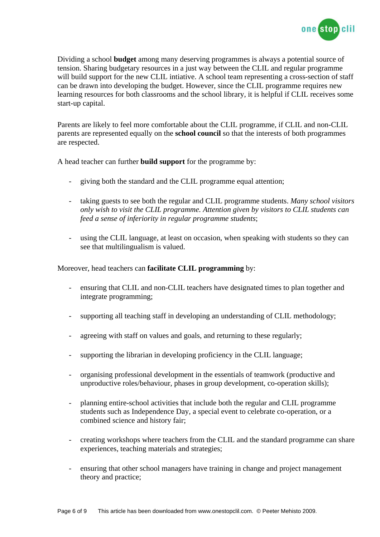

Dividing a school **budget** among many deserving programmes is always a potential source of tension. Sharing budgetary resources in a just way between the CLIL and regular programme will build support for the new CLIL intiative. A school team representing a cross-section of staff can be drawn into developing the budget. However, since the CLIL programme requires new learning resources for both classrooms and the school library, it is helpful if CLIL receives some start-up capital.

Parents are likely to feel more comfortable about the CLIL programme, if CLIL and non-CLIL parents are represented equally on the **school council** so that the interests of both programmes are respected.

A head teacher can further **build support** for the programme by:

- giving both the standard and the CLIL programme equal attention;
- taking guests to see both the regular and CLIL programme students. *Many school visitors only wish to visit the CLIL programme. Attention given by visitors to CLIL students can feed a sense of inferiority in regular programme students*;
- using the CLIL language, at least on occasion, when speaking with students so they can see that multilingualism is valued.

Moreover, head teachers can **facilitate CLIL programming** by:

- ensuring that CLIL and non-CLIL teachers have designated times to plan together and integrate programming;
- supporting all teaching staff in developing an understanding of CLIL methodology;
- agreeing with staff on values and goals, and returning to these regularly;
- supporting the librarian in developing proficiency in the CLIL language;
- organising professional development in the essentials of teamwork (productive and unproductive roles/behaviour, phases in group development, co-operation skills);
- planning entire-school activities that include both the regular and CLIL programme students such as Independence Day, a special event to celebrate co-operation, or a combined science and history fair;
- creating workshops where teachers from the CLIL and the standard programme can share experiences, teaching materials and strategies;
- ensuring that other school managers have training in change and project management theory and practice;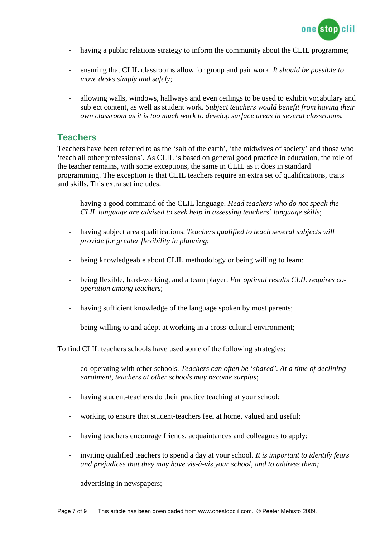

- having a public relations strategy to inform the community about the CLIL programme;
- ensuring that CLIL classrooms allow for group and pair work. *It should be possible to move desks simply and safely*;
- allowing walls, windows, hallways and even ceilings to be used to exhibit vocabulary and subject content, as well as student work. *Subject teachers would benefit from having their own classroom as it is too much work to develop surface areas in several classrooms.*

## **Teachers**

Teachers have been referred to as the 'salt of the earth', 'the midwives of society' and those who 'teach all other professions'. As CLIL is based on general good practice in education, the role of the teacher remains, with some exceptions, the same in CLIL as it does in standard programming. The exception is that CLIL teachers require an extra set of qualifications, traits and skills. This extra set includes:

- having a good command of the CLIL language. *Head teachers who do not speak the CLIL language are advised to seek help in assessing teachers' language skills*;
- having subject area qualifications. *Teachers qualified to teach several subjects will provide for greater flexibility in planning*;
- being knowledgeable about CLIL methodology or being willing to learn;
- being flexible, hard-working, and a team player. *For optimal results CLIL requires cooperation among teachers*;
- having sufficient knowledge of the language spoken by most parents;
- being willing to and adept at working in a cross-cultural environment;

To find CLIL teachers schools have used some of the following strategies:

- co-operating with other schools. *Teachers can often be 'shared'. At a time of declining enrolment, teachers at other schools may become surplus*;
- having student-teachers do their practice teaching at your school;
- working to ensure that student-teachers feel at home, valued and useful;
- having teachers encourage friends, acquaintances and colleagues to apply;
- inviting qualified teachers to spend a day at your school. *It is important to identify fears and prejudices that they may have vis-à-vis your school, and to address them;*
- advertising in newspapers;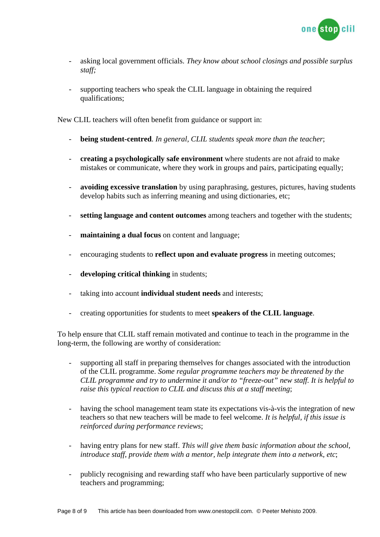

- asking local government officials. *They know about school closings and possible surplus staff;*
- supporting teachers who speak the CLIL language in obtaining the required qualifications;

New CLIL teachers will often benefit from guidance or support in:

- **being student-centred**. *In general, CLIL students speak more than the teacher*;
- **creating a psychologically safe environment** where students are not afraid to make mistakes or communicate, where they work in groups and pairs, participating equally;
- **avoiding excessive translation** by using paraphrasing, gestures, pictures, having students develop habits such as inferring meaning and using dictionaries, etc;
- **setting language and content outcomes** among teachers and together with the students;
- **maintaining a dual focus** on content and language;
- encouraging students to **reflect upon and evaluate progress** in meeting outcomes;
- developing critical thinking in students;
- taking into account **individual student needs** and interests;
- creating opportunities for students to meet **speakers of the CLIL language**.

To help ensure that CLIL staff remain motivated and continue to teach in the programme in the long-term, the following are worthy of consideration:

- supporting all staff in preparing themselves for changes associated with the introduction of the CLIL programme. *Some regular programme teachers may be threatened by the CLIL programme and try to undermine it and/or to "freeze-out" new staff. It is helpful to raise this typical reaction to CLIL and discuss this at a staff meeting*;
- having the school management team state its expectations vis-à-vis the integration of new teachers so that new teachers will be made to feel welcome. *It is helpful, if this issue is reinforced during performance reviews*;
- having entry plans for new staff. *This will give them basic information about the school, introduce staff, provide them with a mentor, help integrate them into a network, etc*;
- publicly recognising and rewarding staff who have been particularly supportive of new teachers and programming;